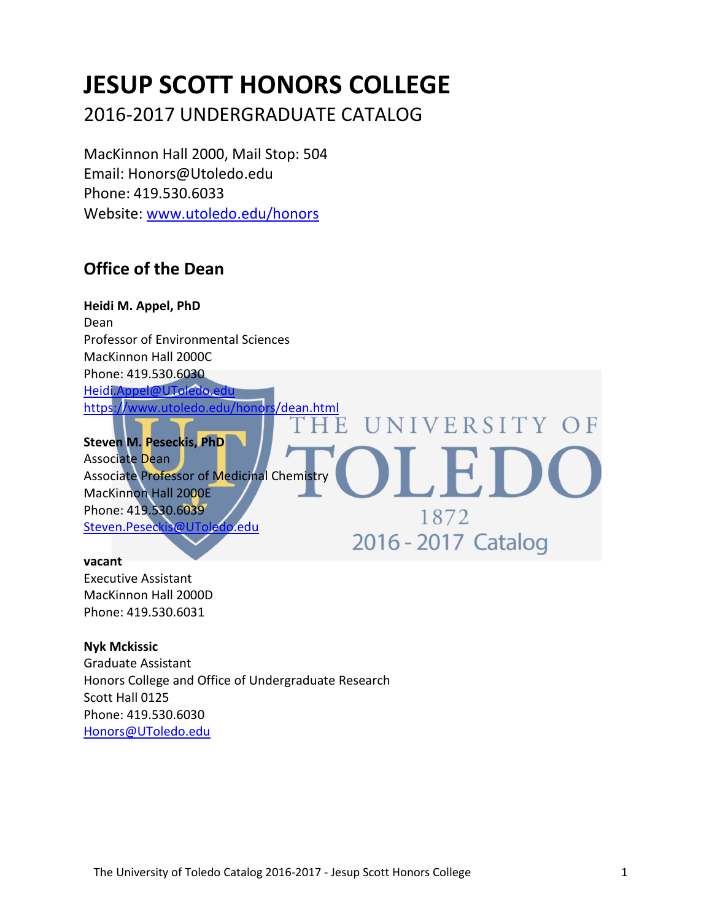# **JESUP SCOTT HONORS COLLEGE**

2016-2017 UNDERGRADUATE CATALOG

MacKinnon Hall 2000, Mail Stop: 504 Email: Honors@Utoledo.edu Phone: 419.530.6033 Website: [www.utoledo.edu/honors](http://www.utoledo.edu/honors)

# **Office of the Dean**

**Heidi M. Appel, PhD** Dean Professor of Environmental Sciences MacKinnon Hall 2000C Phone: 419.530.6030 [Heidi.Appel@UToledo.edu](mailto:Kelly.Moore@UToledo.edu) <https://www.utoledo.edu/honors/dean.html> NIVERSITY OF E H

**Steven M. Peseckis, PhD** Associate Dean Associate Professor of Medicinal Chemistry MacKinnon Hall 2000E Phone: 419.530.6039 1872 [Steven.Peseckis@UToledo.edu](mailto:Steven.Peseckis@UToledo.edu) 2016 - 2017 Catalog

#### **vacant**

Executive Assistant MacKinnon Hall 2000D Phone: 419.530.6031

**Nyk Mckissic** Graduate Assistant Honors College and Office of Undergraduate Research Scott Hall 0125 Phone: 419.530.6030 [Honors@UToledo.edu](mailto:Honors@UToledo.edu)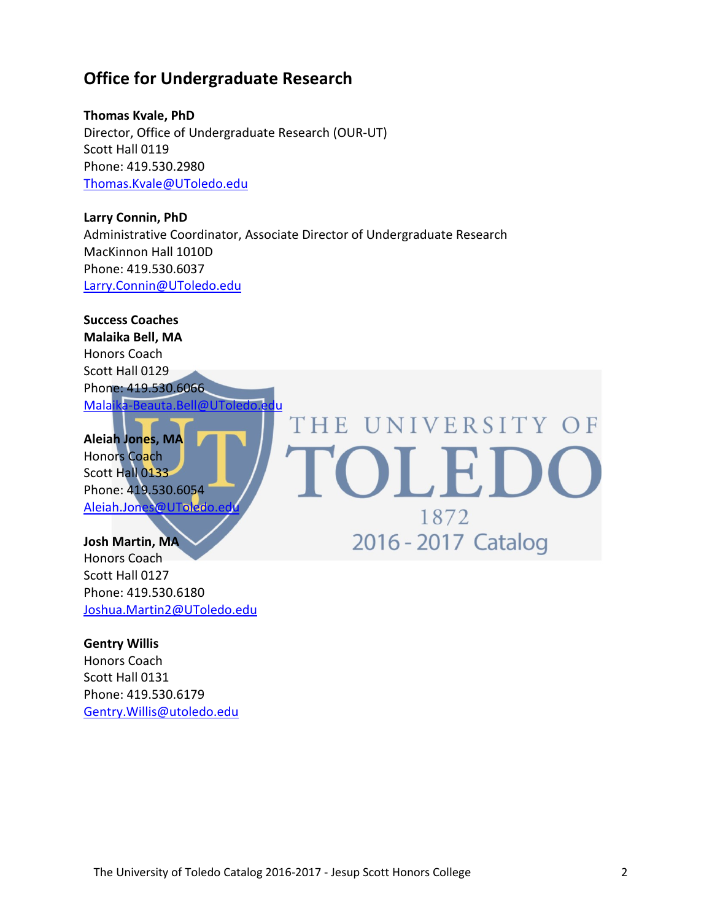## **Office for Undergraduate Research**

**Thomas Kvale, PhD** Director, Office of Undergraduate Research (OUR-UT) Scott Hall 0119 Phone: 419.530.2980 [Thomas.Kvale@UToledo.edu](mailto:Thomas.Kvale@UToledo.edu)

**Larry Connin, PhD** Administrative Coordinator, Associate Director of Undergraduate Research MacKinnon Hall 1010D Phone: 419.530.6037 [Larry.Connin@UToledo.edu](mailto:Larry.Connin@UToledo.edu)

1872

2016 - 2017 Catalog

**Success Coaches Malaika Bell, MA** Honors Coach Scott Hall 0129 Phone: 419.530.6066 [Malaika-Beauta.Bell@UToledo.edu](mailto:Malaika-Beauta.Bell@UToledo.edu) THE UNIVERSITY OF **Aleiah Jones, MA** OLED

Honors Coach Scott Hall 0133 Phone: 419.530.6054 Aleiah.Jones@UToledo.e

**Josh Martin, MA** Honors Coach Scott Hall 0127 Phone: 419.530.6180 [Joshua.Martin2@UToledo.edu](mailto:Joshua.Martin2@UToledo.edu)

**Gentry Willis**

Honors Coach Scott Hall 0131 Phone: 419.530.6179 [Gentry.Willis@utoledo.edu](mailto:Gentry.Willis@utoledo.edu)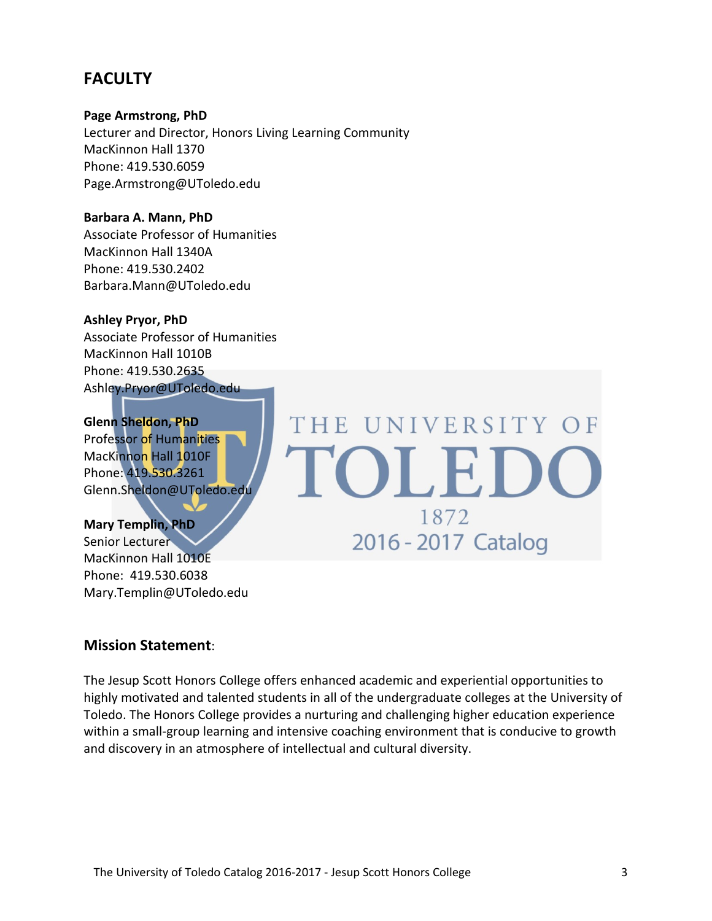# **FACULTY**

**Page Armstrong, PhD**

Lecturer and Director, Honors Living Learning Community MacKinnon Hall 1370 Phone: 419.530.6059 Page.Armstrong@UToledo.edu

**Barbara A. Mann, PhD** Associate Professor of Humanities MacKinnon Hall 1340A Phone: 419.530.2402 Barbara.Mann@UToledo.edu

**Ashley Pryor, PhD** Associate Professor of Humanities MacKinnon Hall 1010B Phone: 419.530.2635 Ashley.Pryor@UToledo.edu

**Glenn Sheldon, PhD** Professor of Humanities MacKinnon Hall 1010F Phone: 419.530.3261 Glenn.Sheldon@UToledo.edu

**Mary Templin, PhD** Senior Lecturer MacKinnon Hall 1010E Phone: 419.530.6038 Mary.Templin@UToledo.edu THE UNIVERSITY OF OLE 1872 2016 - 2017 Catalog

#### **Mission Statement**:

The Jesup Scott Honors College offers enhanced academic and experiential opportunities to highly motivated and talented students in all of the undergraduate colleges at the University of Toledo. The Honors College provides a nurturing and challenging higher education experience within a small-group learning and intensive coaching environment that is conducive to growth and discovery in an atmosphere of intellectual and cultural diversity.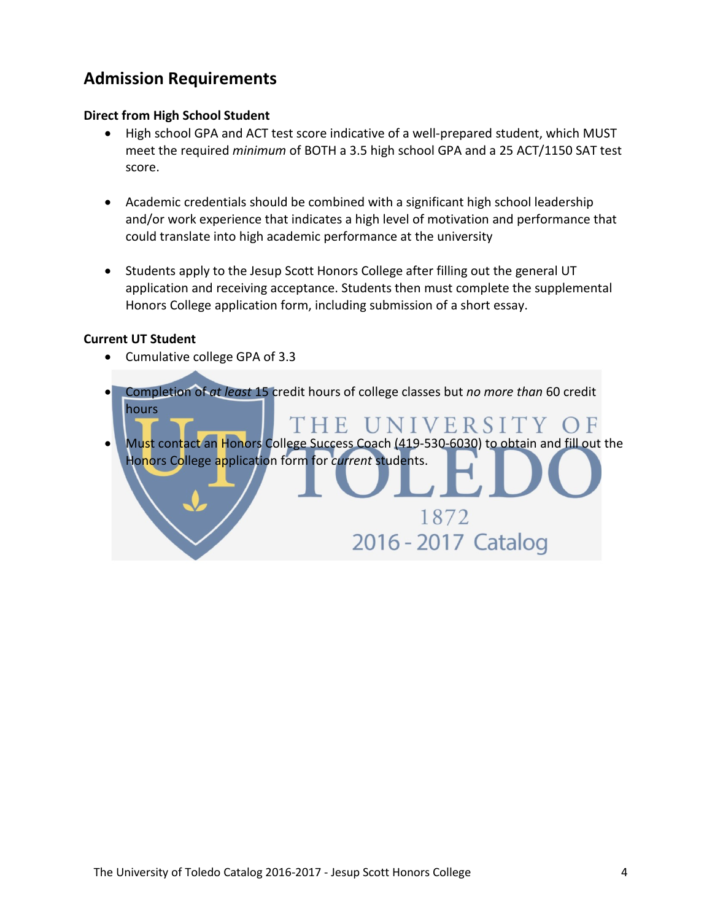# **Admission Requirements**

#### **Direct from High School Student**

- High school GPA and ACT test score indicative of a well-prepared student, which MUST meet the required *minimum* of BOTH a 3.5 high school GPA and a 25 ACT/1150 SAT test score.
- Academic credentials should be combined with a significant high school leadership and/or work experience that indicates a high level of motivation and performance that could translate into high academic performance at the university
- Students apply to the Jesup Scott Honors College after filling out the general UT application and receiving acceptance. Students then must complete the supplemental Honors College application form, including submission of a short essay.

#### **Current UT Student**

• Cumulative college GPA of 3.3

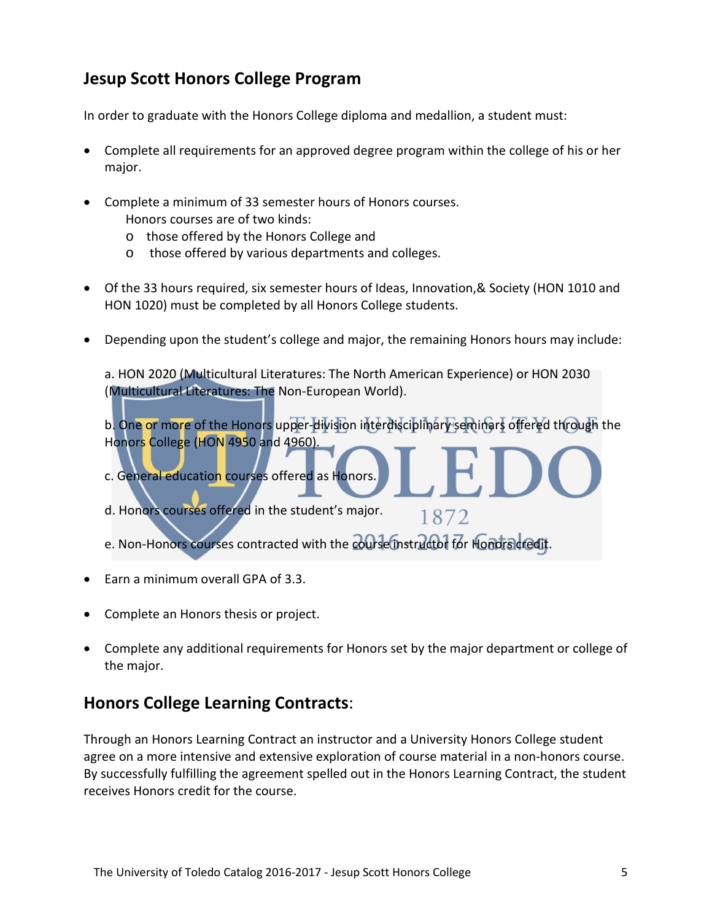# **Jesup Scott Honors College Program**

In order to graduate with the Honors College diploma and medallion, a student must:

- Complete all requirements for an approved degree program within the college of his or her major.
- Complete a minimum of 33 semester hours of Honors courses. Honors courses are of two kinds:
	- o those offered by the Honors College and
	- o those offered by various departments and colleges.
- Of the 33 hours required, six semester hours of Ideas, Innovation,& Society (HON 1010 and HON 1020) must be completed by all Honors College students.
- Depending upon the student's college and major, the remaining Honors hours may include:

a. HON 2020 (Multicultural Literatures: The North American Experience) or HON 2030 (Multicultural Literatures: The Non-European World).

b. One or more of the Honors upper-division interdisciplinary seminars offered through the Honors College (HON 4950 and 4960).

1872

- c. General education courses offered as Honors.
- d. Honors courses offered in the student's major.

e. Non-Honors courses contracted with the course instructor for Hondracredit.

- Earn a minimum overall GPA of 3.3.
- Complete an Honors thesis or project.
- Complete any additional requirements for Honors set by the major department or college of the major.

### **Honors College Learning Contracts**:

Through an Honors Learning Contract an instructor and a University Honors College student agree on a more intensive and extensive exploration of course material in a non-honors course. By successfully fulfilling the agreement spelled out in the Honors Learning Contract, the student receives Honors credit for the course.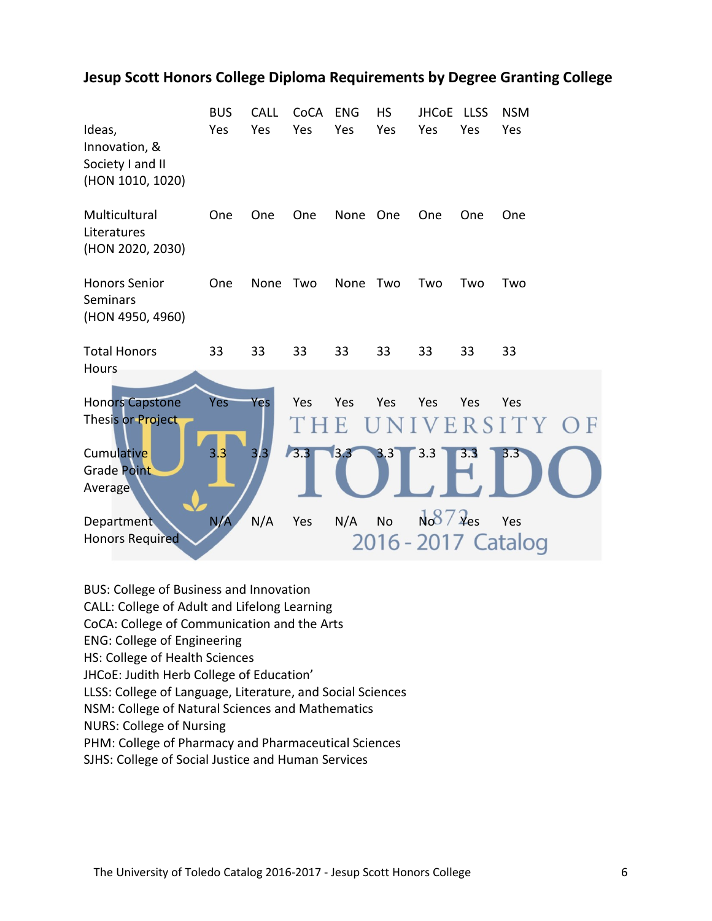### **Jesup Scott Honors College Diploma Requirements by Degree Granting College**

| Ideas,<br>Innovation, &<br>Society I and II<br>(HON 1010, 1020) | <b>BUS</b><br>Yes | <b>CALL</b><br>Yes | CoCA<br>Yes  | <b>ENG</b><br>Yes | <b>HS</b><br>Yes | <b>JHCoE</b><br>Yes | <b>LLSS</b><br>Yes | <b>NSM</b><br>Yes          |
|-----------------------------------------------------------------|-------------------|--------------------|--------------|-------------------|------------------|---------------------|--------------------|----------------------------|
| Multicultural<br>Literatures<br>(HON 2020, 2030)                | One               | One                | One          | None              | One              | One                 | One                | One                        |
| <b>Honors Senior</b><br><b>Seminars</b><br>(HON 4950, 4960)     | One               | None               | Two          | None              | Two              | Two                 | Two                | Two                        |
| <b>Total Honors</b><br><b>Hours</b>                             | 33                | 33                 | 33           | 33                | 33               | 33                  | 33                 | 33                         |
| <b>Honors Capstone</b><br>Thesis or Project                     | Yes               | Yes                | Yes          | Yes<br>E.         | Yes              | Yes                 | Yes                | Yes<br>UNIVERSITY OF       |
| Cumulative<br><b>Grade Point</b><br>Average                     | 3.3               | 3.3                | $\sqrt{3.3}$ | 3.3               | 3.3              | 3.3                 | 3.3                | 3.3                        |
| <b>Department</b><br><b>Honors Required</b>                     | N/A               | N/A                | Yes          | N/A               | <b>No</b>        | $N087$ $\lambda$ es |                    | Yes<br>2016 - 2017 Catalog |

BUS: College of Business and Innovation

CALL: College of Adult and Lifelong Learning

CoCA: College of Communication and the Arts

ENG: College of Engineering

HS: College of Health Sciences

JHCoE: Judith Herb College of Education'

LLSS: College of Language, Literature, and Social Sciences

NSM: College of Natural Sciences and Mathematics

NURS: College of Nursing

PHM: College of Pharmacy and Pharmaceutical Sciences

SJHS: College of Social Justice and Human Services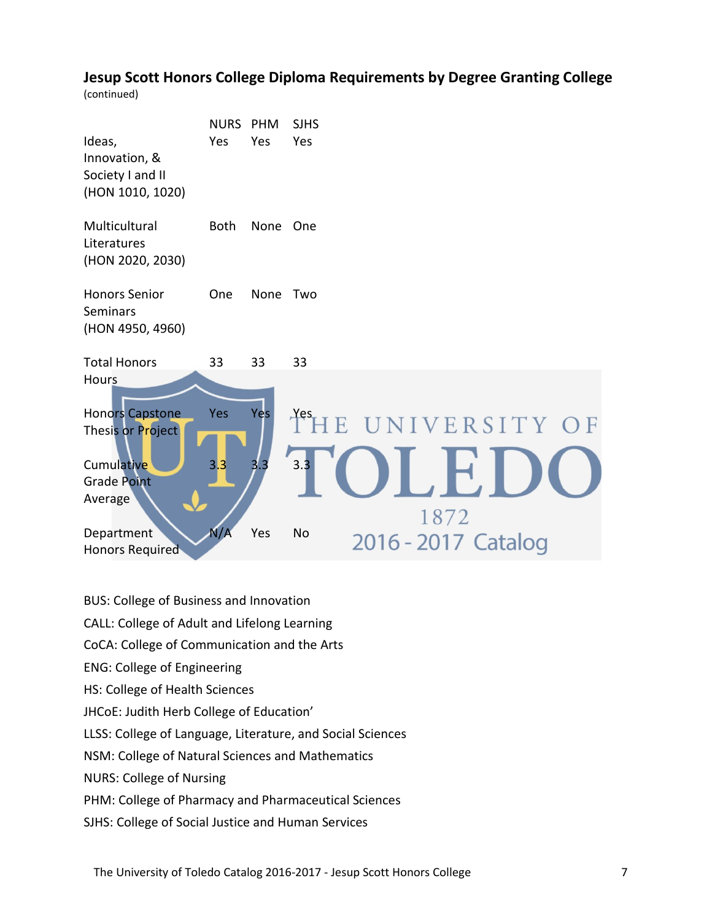### **Jesup Scott Honors College Diploma Requirements by Degree Granting College**

(continued)

| Ideas,<br>Innovation, &<br>Society I and II<br>(HON 1010, 1020)                                                                      | <b>NURS</b><br>Yes       | <b>PHM</b><br>Yes  | <b>SJHS</b><br>Yes           |                                      |      |  |
|--------------------------------------------------------------------------------------------------------------------------------------|--------------------------|--------------------|------------------------------|--------------------------------------|------|--|
| Multicultural<br>Literatures<br>(HON 2020, 2030)                                                                                     | <b>Both</b>              | None               | One                          |                                      |      |  |
| <b>Honors Senior</b><br>Seminars<br>(HON 4950, 4960)                                                                                 | One                      | None               | Two                          |                                      |      |  |
| <b>Total Honors</b>                                                                                                                  | 33                       | 33                 | 33                           |                                      |      |  |
| <b>Hours</b><br>Honors Capstone<br>Thesis or Project<br>Cumulative<br><b>Grade Point</b><br>Average<br>Department<br>Honors Required | <b>Yes</b><br>3.3<br>N/A | Yes.<br>3.3<br>Yes | Yes<br>F<br>3.3<br><b>No</b> | UNIVERSITY OF<br>2016 - 2017 Catalog | 1872 |  |

BUS: College of Business and Innovation

CALL: College of Adult and Lifelong Learning

CoCA: College of Communication and the Arts

ENG: College of Engineering

HS: College of Health Sciences

JHCoE: Judith Herb College of Education'

LLSS: College of Language, Literature, and Social Sciences

NSM: College of Natural Sciences and Mathematics

NURS: College of Nursing

PHM: College of Pharmacy and Pharmaceutical Sciences

SJHS: College of Social Justice and Human Services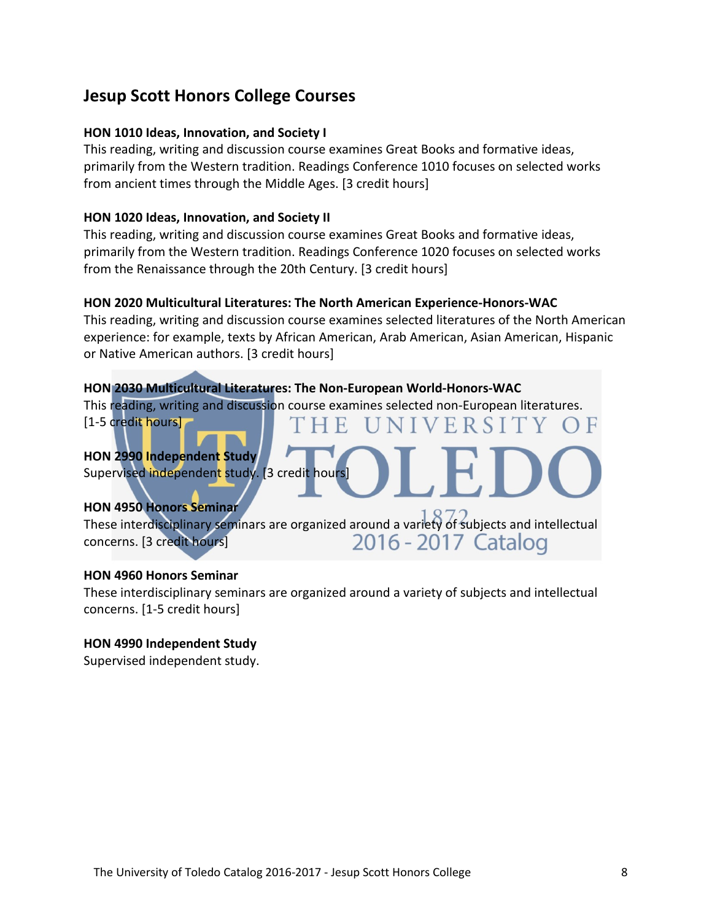# **Jesup Scott Honors College Courses**

#### **HON 1010 Ideas, Innovation, and Society I**

This reading, writing and discussion course examines Great Books and formative ideas, primarily from the Western tradition. Readings Conference 1010 focuses on selected works from ancient times through the Middle Ages. [3 credit hours]

#### **HON 1020 Ideas, Innovation, and Society II**

This reading, writing and discussion course examines Great Books and formative ideas, primarily from the Western tradition. Readings Conference 1020 focuses on selected works from the Renaissance through the 20th Century. [3 credit hours]

#### **HON 2020 Multicultural Literatures: The North American Experience-Honors-WAC**

This reading, writing and discussion course examines selected literatures of the North American experience: for example, texts by African American, Arab American, Asian American, Hispanic or Native American authors. [3 credit hours]

 $\Box$ 

IVERSITY

 $()$   $\vdash$ 

#### **HON 2030 Multicultural Literatures: The Non-European World-Honors-WAC**

This reading, writing and discussion course examines selected non-European literatures. E.

[1-5 credit hours]]

### **HON 2990 Independent Study**

Supervised independent study. [3 credit hours]

#### **HON 4950 Honors Seminar**

These interdisciplinary seminars are organized around a variety of subjects and intellectual 2016 - 2017 Catalog concerns. [3 credit hours]

#### **HON 4960 Honors Seminar**

These interdisciplinary seminars are organized around a variety of subjects and intellectual concerns. [1-5 credit hours]

#### **HON 4990 Independent Study**

Supervised independent study.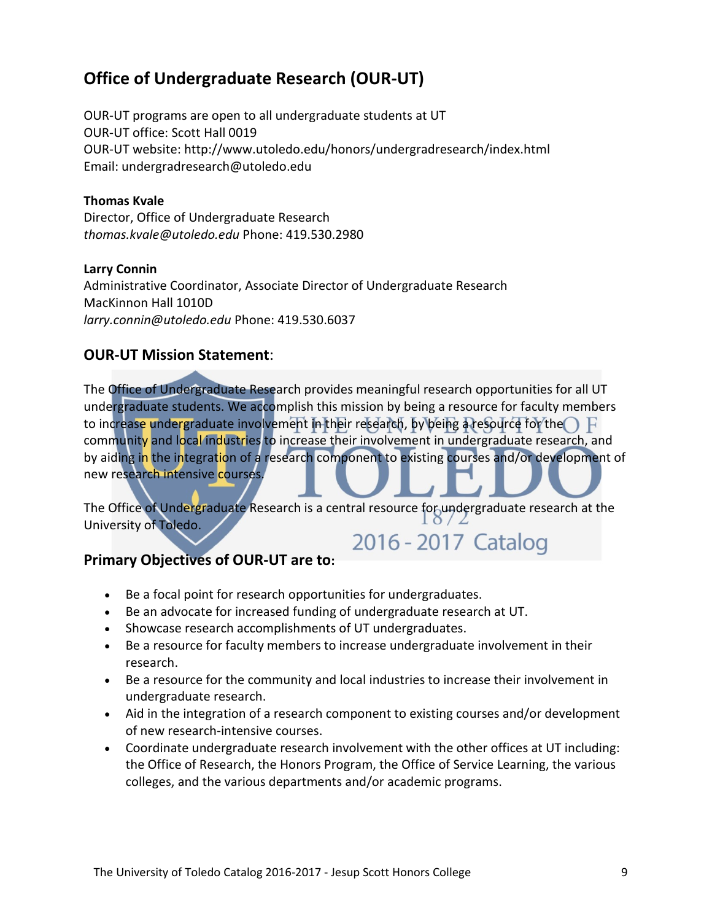# **Office of Undergraduate Research (OUR-UT)**

OUR-UT programs are open to all undergraduate students at UT OUR-UT office: Scott Hall 0019 OUR-UT website: http://www.utoledo.edu/honors/undergradresearch/index.html Email: undergradresearch@utoledo.edu

#### **Thomas Kvale**

Director, Office of Undergraduate Research *thomas.kvale@utoledo.edu* Phone: 419.530.2980

#### **Larry Connin**

Administrative Coordinator, Associate Director of Undergraduate Research MacKinnon Hall 1010D *larry.connin@utoledo.edu* Phone: 419.530.6037

#### **OUR-UT Mission Statement**:

The Office of Undergraduate Research provides meaningful research opportunities for all UT undergraduate students. We accomplish this mission by being a resource for faculty members to increase undergraduate involvement in their research, by being a resource for the  $\bigcap F$ community and local industries to increase their involvement in undergraduate research, and by aiding in the integration of a research component to existing courses and/or development of new research intensive courses.

The Office of Undergraduate Research is a central resource for undergraduate research at the<br>University of Talade University of Toledo. 2016 - 2017 Catalog

#### **Primary Objectives of OUR-UT are to:**

- Be a focal point for research opportunities for undergraduates.
- Be an advocate for increased funding of undergraduate research at UT.
- Showcase research accomplishments of UT undergraduates.
- Be a resource for faculty members to increase undergraduate involvement in their research.
- Be a resource for the community and local industries to increase their involvement in undergraduate research.
- Aid in the integration of a research component to existing courses and/or development of new research-intensive courses.
- Coordinate undergraduate research involvement with the other offices at UT including: the Office of Research, the Honors Program, the Office of Service Learning, the various colleges, and the various departments and/or academic programs.